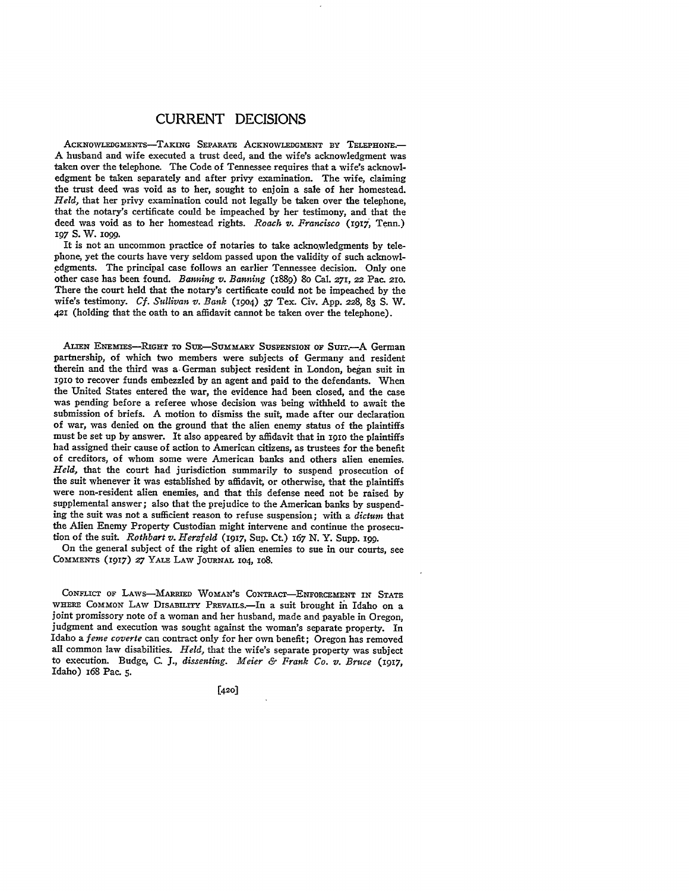## CURRENT DECISIONS

ACKNOWLEDGMENTS-TAKING SEPARATE ACKNOWLEDGMENT BY TELEPHONE. A husband and wife executed a trust deed, and the wife's acknowledgment was taken over the telephone. The Code of Tennessee requires that a wife's acknowledgment be taken separately and after privy examination. The wife, claiming the trust deed was void as to her, sought to enjoin a sale of her homestead. *Held,* that her privy examination could not legally be taken over the telephone, that the notary's certificate could be impeached by her testimony, and that the deed was void as to her homestead rights. *Roach v. Francisco* **(1917,** Tenn.) 197 S. W. 1099.

It is not an uncommon practice of notaries to take acknowledgments by telephone, yet the courts have very seldom passed upon the validity of such acknowl- .edgments. The principal case follows an earlier Tennessee decision. Only one other case has been found. *Banning v. Banning* (1889) 8o Cal. 271, *22* Pac. **21o.** There the court held that the notary's certificate could not be impeached by the wife's testimony. *Cf. Sullivan v. Bank* **(1904)** 37 Tex. Civ. App. **228,** 83 **S.** W. *42i* (holding that the oath to an affidavit cannot be taken over the telephone).

**ALIEN ENEmiEs-RIGHT** TO SUE-SummARY SusPENSION **OF** SmT.-A German partnership, of which two members were subjects of Germany and resident therein and the third was a German subject resident in London, began suit in **191o** to recover funds embezzled by an agent and paid to the defendants. When the United States entered the war, the evidence had been closed, and the case was pending before a referee whose decision was being withheld to await the submission of briefs. A motion to dismiss the suit, made after our declaration of war, was denied on the ground that the alien enemy status of the plaintiffs must be set up by answer. It also appeared by affidavit that in **191o** the plaintiffs had assigned their cause of action to American citizens, as trustees for the benefit of creditors, of whom some were American banks and others alien enemies. *Held,* that the court had jurisdiction summarily to suspend prosecution of the suit whenever it was established by affidavit, or otherwise, that the plaintiffs were non-resident alien enemies, and that this defense need not be raised by supplemental answer; also that the prejudice to the American banks by suspending the suit was not a sufficient reason to refuse suspension; with a *dictum* that the Alien Enemy Property Custodian might intervene and continue the prosecution of the suit. *Rothbart v. Herzfeld* (1917, Sup. Ct) 167 N. Y. Supp. *i99.*

On the general subject of the right of alien enemies to sue in our courts, see COMMENTS (1917) *27* YALE LAW JoURNAL 104, io8.

CONFLICT OF LAWS-MARRED WOMAN'S CONTRACT-ENFoRCEMENT IN STATE WHERE COMMON LAW DISABILITY PREVAILS.-In a suit brought in Idaho on a joint promissory note of a woman and her husband, made and payable in Oregon, judgment and execution was sought against the woman's separate property. In Idaho a *feme coverte* can contract only for her own benefit; Oregon has removed all common law disabilities. *Held,* that the wife's separate property was subject to execution. Budge, **C. J.,** *dissenting. Meier & Frank Co. v. Bruce* (1917, Idaho) 168 Pac. 5.

[420]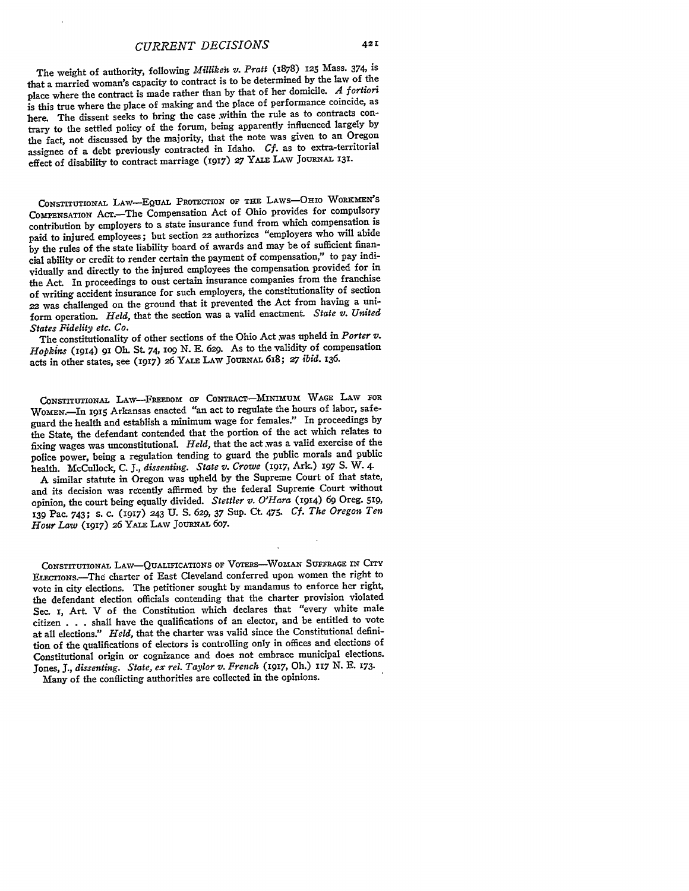## *CURRENT DECISIONS*

The weight of authority, following *Millke4 v. Pratt* (1878) **125** Mass. 374, is that a married woman's capacity to contract is to be determined by the law of the place where the contract is made rather than by that of her domicile. *A fortiori* is this true where the place of making and the place of performance coincide, as here. The dissent seeks to bring the case within the rule as to contracts contrary to the settled policy of the forum, being apparently influenced largely by the fact, not discussed by the majority, that the note was given to an Oregon assignee of a debt previously contracted in Idaho. *Cf.* as to extra-territorial effect of disability to contract marriage (1917) *27* YALE LAw **JOURNAL** 131.

CONSTITUTIONAL LAW-EQUAL PROTECTION OF THE LAWS-OHIO WORKMEN'S **COMPENSATION** AcT.-The Compensation Act of Ohio provides for compulsory contribution **by** employers to a state insurance fund from which compensation is paid to injured employees; but section **22** authorizes "employers who will abide **by** the rules of the state liability board of awards and may be of sufficient financial ability or credit to render certain the payment of compensation," to pay individually and directly to the injured employees the compensation provided for in the Act. In proceedings to oust certain insurance companies from the franchise of writing accident insurance for such employers, the constitutionality of section 22 was challenged on the ground that it prevented the Act from having a uniform operation. *Held,* that the section was a valid enactment. *State v. United States Fidelity etc. Co.*

The constitutionality of other sections of the Ohio Act was upheld in *Porter v. Hopkins* (1914) 9I Oh. St. 74, **iog** *N.* E. 629. As to the validity of compensation acts in other states, see (1917) **26** YALE LAW **JOURNAL** 68; **27** *ibid.* 136.

**CONSTrrUTIoNAL** LAw-FREDOm **OF** CONTRACT-MINMUM **WAGE** LAW **FOR** WOMEN.-In 1915 Arkansas enacted "an act to regulate the hours of labor, safeguard the health and establish a minimum wage for females." In proceedings by the State, the defendant contended that the portion of the act which relates to fixing wages was unconstitutional. *Held,* that the act was a valid exercise of the police power, being a regulation tending to guard the public morals and public health. McCullock, **C.** *J., dissenting. State v. Crowe* (1917, Ark) *197* **S.** W. 4.

A similar statute in Oregon was upheld **by** the Supreme Court of that state, and its decision was recently affirmed **by** the federal Supreme Court without opinion, the court being equally divided. *Stettler v. O'Hara* (1914) 69 Oreg. **519, <sup>139</sup>**Pac. 743; **S. C. (1917)** 243 **U. S. 629,** 37 Sup. Ct. 475. *Cf. The Oregon Ten Hour Law* (1917) 26 YALE LAW **JoURNAL** 6o7.

CONSTITUTIONAL LAW-QUALIFICATIONS OF VOTERS-WOMAN SUFFRAGE IN CITY ELEcTION.-The charter of East Cleveland conferred upon women the right to vote in city elections. The petitioner sought **by** mandamus to enforce her right, the defendant election officials contending that the charter provision violated See. I, Art. V of the Constitution which declares that "every white male citizen **. . .** shall have the qualifications of an elector, and be entitled to vote at all elections." *Held,* that the charter was valid since the Constitutional definition of the qualifications of electors is controlling only in offices and elections of Constitutional origin or cognizance and does not embrace municipal elections. Jones, *J., dissenting. State, ex rel. Taylor v. French* (1917, Oh.) *117* **N. E.** 173.

Many of the conflicting authorities are collected in the opinions.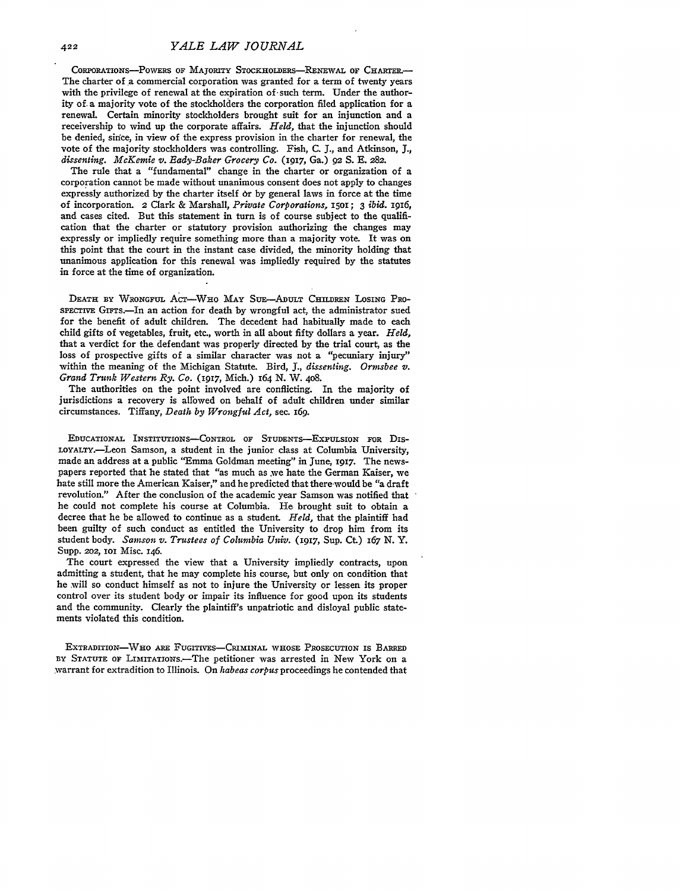CORPORATIONS-POWERS OF MAJORITY STOCKHOLDERS-RENEWAL OF CHARTER.-The charter of a commercial corporation was granted for a term of twenty years with the privilege of renewal at the expiration of-such term. Under the authority of. a majority vote of the stockholders the corporation filed application for a renewal. Certain minority stockholders brought suit for an injunction and a receivership to wind up the corporate affairs. *Held,* that the injunction should be denied, since, in view of the express provision in the charter for renewal, the vote of the majority stockholders was controlling. Fish, C. **J.,** and Atkinson, **J.,** *dissenting. McKemie v. Bady-Baker Grocery Co.* (1917, Ga.) 92 **S. E. 282.**

The rule that a "fundamental" change in the charter or organization of a corporation cannot be made without unanimous consent does not apply to changes expressly authorized by the charter itself *Or* by general laws in force at the time of incorporation. 2 Clark & Marshall, *Private Corporations,* 1501; 3 *ibid.* 1916, and cases cited. But this statement in turn is of course subject to the qualification that the charter or statutory provision authorizing the changes may expressly or impliedly require something more than a majority vote. It was on this point that the court in the instant case divided, the minority holding that unanimous application for this renewal was impliedly required by the statutes in force at the time of organization.

**DEATH BY WRONGFUL** AcT-WHo **MAY** SUE-ADULT CHIIDREN LOSING Pao-SPECTIVE GIFTS.-In an action for death by wrongful act, the administrator sued for the benefit of adult children. The decedent had habitually made to each child gifts of vegetables, fruit, etc., worth in all about fifty dollars a year. *Held,* that a verdict for the defendant was properly directed by the trial court, as the loss of prospective gifts of a similar character was not a "pecuniary injury" within the meaning of the Michigan Statute. Bird, J., *dissenting. Ormsbee v. Grand Trunk Western Ry. Co.* (1917, Mich.) 164 N. W. 4o8.

The authorities on the point involved are conflicting. In the majority of jurisdictions a recovery is allowed on behalf of adult children under similar circumstances. Tiffany, *Death by Wrongful Act,* sec. *169.*

EDUCATIONAL INSTITUTIONS-CONTROL OF STUDENTS-EXPULSION FOR Dis-LoYALTY.-LeOn Samson, a student in the junior class at Columbia University, made an address at a public "Emma Goldman meeting" in June, 1917. The newspapers reported that he stated that "as much as ,we hate the German Kaiser, we hate still more the American Kaiser," and he predicted that therewould be "a draft revolution." After the conclusion of the academic year Samson was notified that he could not complete his course at Columbia. He brought suit to obtain a decree that he be allowed to continue as a student. *Held,* that the plaintiff had been guilty of such conduct as entitled the University to drop him from its student body. *Samson v. Trustees of Columbia Univ.* (1917, Sup. Ct) *167* **N.** Y. Supp. 202, **101** Misc. 146.

The court expressed the view that a University impliedly contracts, upon admitting a student, that he may complete his course, but only on condition that he will so conduct himself as not to injure the University or lessen its proper control over its student body or impair its influence for good upon its students and the community. Clearly the plaintiff's unpatriotic and disloyal public statements violated this condition.

EXTRADITION-WHO ARE **FUGITIVEs-CRIMINAL WHOSE PROSECUTION IS** BARRED BY STATUTE OF LImiTATIoNs.-The petitioner was arrested **in** New York on a warrant for extradition to Illinois. On *habeas corpus* proceedings he contended that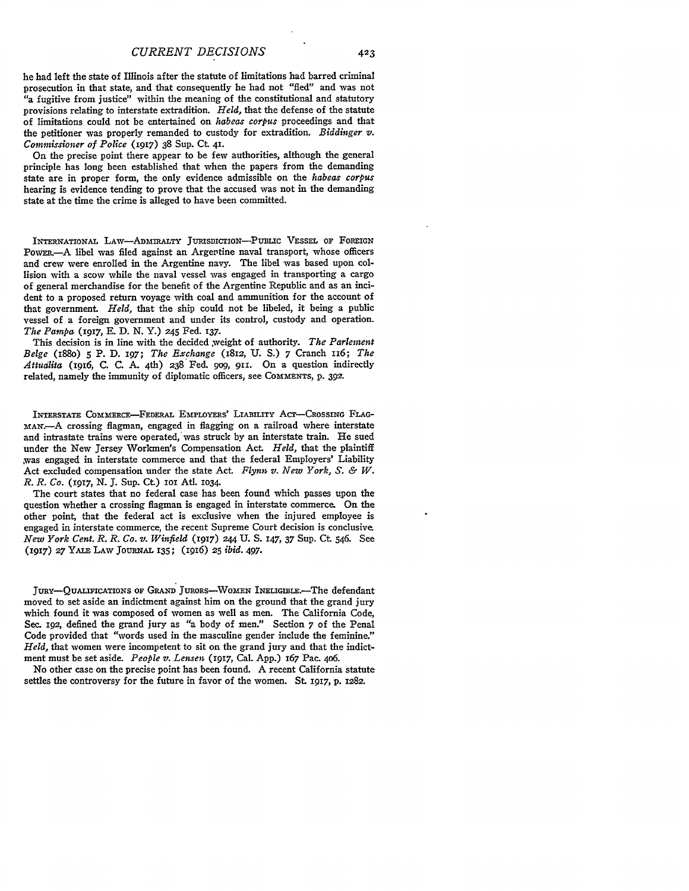*CURRENT DECISIONS*

he had left the state of Illinois after the statute of limitations had barred criminal prosecution in that state, and that consequently he had not "fled" and was not "a fugitive from justice" within the meaning of the constitutional and statutory provisions relating to interstate extradition. *Held,* that the defense of the statute of limitations could not be entertained on *habeas corpus* proceedings and that the petitioner was properly remanded to custody for extradition. *Biddinger v. Commissioner of Police* (1917) 38 Sup. Ct. 41.

On the precise point there appear to be few authorities, although the general principle has long been established that when the papers from the demanding state are in proper form, the only evidence admissible on the *habeas corpus* hearing is evidence tending to prove that the accused was not in the demanding state at the time the crime is alleged to have been committed.

INTERNATIONAL LAw-ADmIRALTY JURISDICTION-PUBLIc **VESSEL** OF FOREIGN PowER-A libel was filed against an Argentine naval transport, whose officers and crew were enrolled in the Argentine navy. The libel was based upon collision with a scow while the naval vessel was engaged in transporting a cargo of general merchandise for the benefit of the Argentine Republic and as an incident to a proposed return voyage with coal and ammunition for the account of that government *Held,* that the ship could not be libeled, it being a public vessel of a foreign government and under its control, custody and operation. *The Pampa* (1917, E. D. N. Y.) 245 Fed. 137.

This decision is in line with the decided ,weight of authority. *The Parlement Beige (i88o)* **5** P. D. 197; *The Exchange* (1812, **U.** S.) 7 Cranch 116; *The Attualita* (I916, C. C. A. 4th) **238** Fed. 9o9, g1. On a question indirectly related, namely the immunity of diplomatic officers, see COMMENTS, p. **392.**

INTERSTATE COMMERCE-FEDERAL EMPLOYERS' LIABILITY ACT-CROSSING FLAG-MA.-A crossing flagman, engaged in flagging on a railroad where interstate and intrastate trains were operated, was struck by an interstate train. He sued under the New Jersey Workmen's Compensation Act. *Held,* that the plaintiff ,was engaged in interstate commerce and that the federal Employers' Liability Act excluded compensation under the state Act. *Flynn v. New York, S. & W. R. R. Co.* (1917, *N. 3.* Sup. Ct) ioi Ati. io34.

The court states that no federal case has been found which passes upon the question whether a crossing flagman is engaged in interstate commerce. On the other point, that the federal act is exclusive when the injured employee is engaged in interstate commerce, the recent Supreme Court decision is conclusive. *New York Cent. R. R. Co. v. Winfield* (1917) 244 **U. S.** 147, 37 Sup. Ct. 546. See (1917) **27 YALE** LAW **JOURNAL** 135; (1916) **25** *ibid. 497.*

JURY-QUALIFICATIONS OF GRAND JURORS-WOMEN INELIGIBLE.<sup>-The</sup> defendant moved to set aside an indictment against him on the ground that the grand jury which found it was composed of women as well as men. The California Code, Sec. 192, defined the grand jury as "a body of men." Section 7 of the Penal Code provided that "words used in the masculine gender include the feminine." *Held,* that women were incompetent to sit on the grand jury and that the indictment must be set aside. *People v. Lensen* (1917, Cal. App.) 167 Pac. 4o6.

No other case on the precise point has been found. A recent California statute settles the controversy for the future in favor of the women. **St. 1917, p.** 1282.